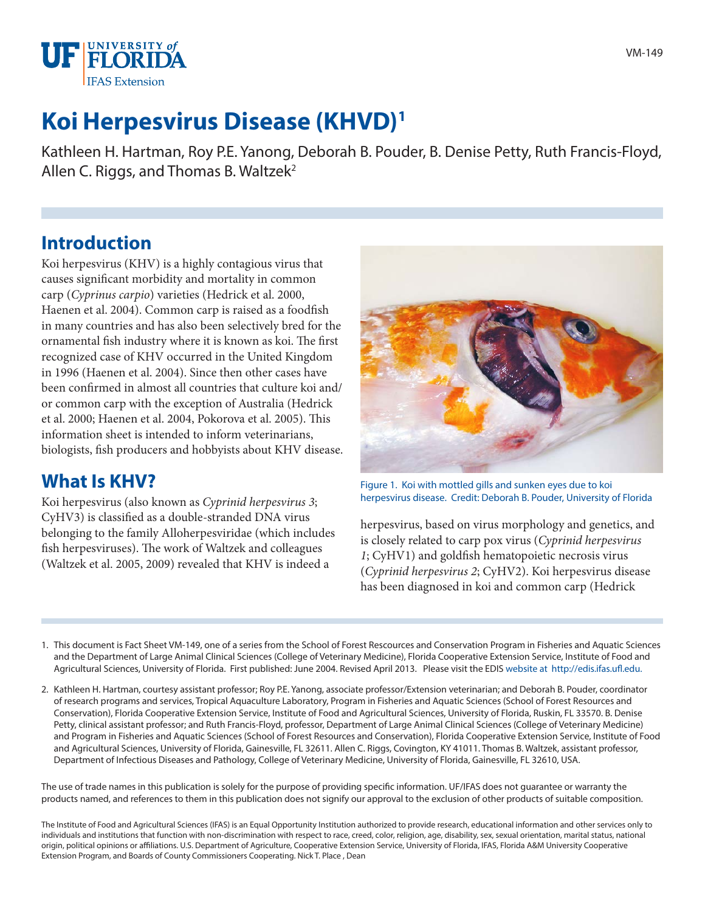

# **Koi Herpesvirus Disease (KHVD)1**

Kathleen H. Hartman, Roy P.E. Yanong, Deborah B. Pouder, B. Denise Petty, Ruth Francis-Floyd, Allen C. Riggs, and Thomas B. Waltzek<sup>2</sup>

#### **Introduction**

Koi herpesvirus (KHV) is a highly contagious virus that causes significant morbidity and mortality in common carp (*Cyprinus carpio*) varieties (Hedrick et al. 2000, Haenen et al. 2004). Common carp is raised as a foodfish in many countries and has also been selectively bred for the ornamental fish industry where it is known as koi. The first recognized case of KHV occurred in the United Kingdom in 1996 (Haenen et al. 2004). Since then other cases have been confirmed in almost all countries that culture koi and/ or common carp with the exception of Australia (Hedrick et al. 2000; Haenen et al. 2004, Pokorova et al. 2005). This information sheet is intended to inform veterinarians, biologists, fish producers and hobbyists about KHV disease.

#### **What Is KHV?**

Koi herpesvirus (also known as *Cyprinid herpesvirus 3*; CyHV3) is classified as a double-stranded DNA virus belonging to the family Alloherpesviridae (which includes fish herpesviruses). The work of Waltzek and colleagues (Waltzek et al. 2005, 2009) revealed that KHV is indeed a



Figure 1. Koi with mottled gills and sunken eyes due to koi herpesvirus disease. Credit: Deborah B. Pouder, University of Florida

herpesvirus, based on virus morphology and genetics, and is closely related to carp pox virus (*Cyprinid herpesvirus 1*; CyHV1) and goldfish hematopoietic necrosis virus (*Cyprinid herpesvirus 2*; CyHV2). Koi herpesvirus disease has been diagnosed in koi and common carp (Hedrick

- 1. This document is Fact Sheet VM-149, one of a series from the School of Forest Rescources and Conservation Program in Fisheries and Aquatic Sciences and the Department of Large Animal Clinical Sciences (College of Veterinary Medicine), Florida Cooperative Extension Service, Institute of Food and Agricultural Sciences, University of Florida. First published: June 2004. Revised April 2013. Please visit the EDIS website at http://edis.ifas.ufl.edu.
- 2. Kathleen H. Hartman, courtesy assistant professor; Roy P.E. Yanong, associate professor/Extension veterinarian; and Deborah B. Pouder, coordinator of research programs and services, Tropical Aquaculture Laboratory, Program in Fisheries and Aquatic Sciences (School of Forest Resources and Conservation), Florida Cooperative Extension Service, Institute of Food and Agricultural Sciences, University of Florida, Ruskin, FL 33570. B. Denise Petty, clinical assistant professor; and Ruth Francis-Floyd, professor, Department of Large Animal Clinical Sciences (College of Veterinary Medicine) and Program in Fisheries and Aquatic Sciences (School of Forest Resources and Conservation), Florida Cooperative Extension Service, Institute of Food and Agricultural Sciences, University of Florida, Gainesville, FL 32611. Allen C. Riggs, Covington, KY 41011. Thomas B. Waltzek, assistant professor, Department of Infectious Diseases and Pathology, College of Veterinary Medicine, University of Florida, Gainesville, FL 32610, USA.

The use of trade names in this publication is solely for the purpose of providing specific information. UF/IFAS does not guarantee or warranty the products named, and references to them in this publication does not signify our approval to the exclusion of other products of suitable composition.

The Institute of Food and Agricultural Sciences (IFAS) is an Equal Opportunity Institution authorized to provide research, educational information and other services only to individuals and institutions that function with non-discrimination with respect to race, creed, color, religion, age, disability, sex, sexual orientation, marital status, national origin, political opinions or affiliations. U.S. Department of Agriculture, Cooperative Extension Service, University of Florida, IFAS, Florida A&M University Cooperative Extension Program, and Boards of County Commissioners Cooperating. Nick T. Place , Dean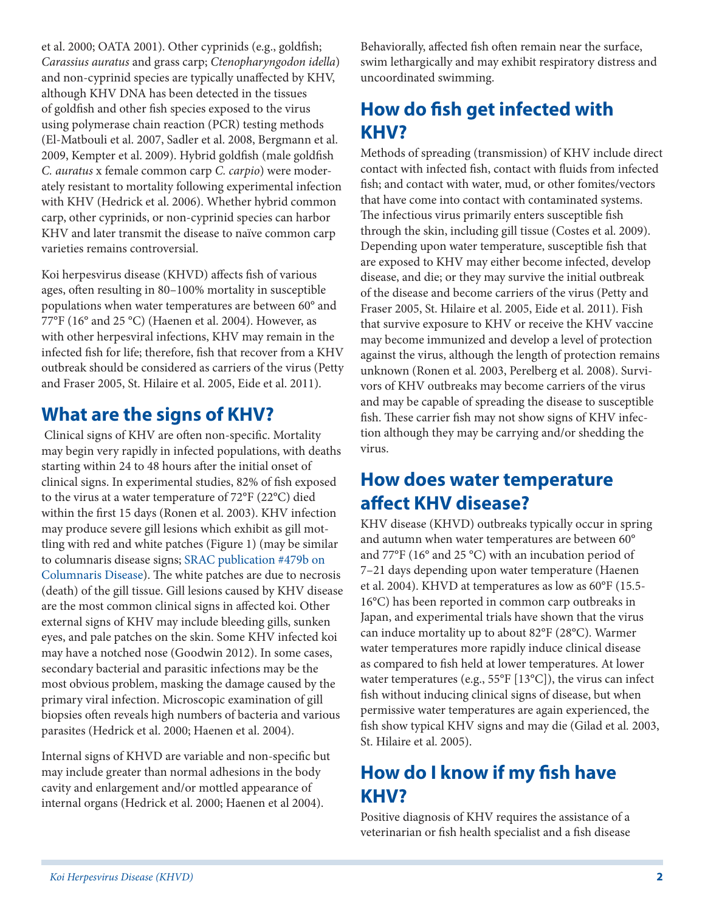et al. 2000; OATA 2001). Other cyprinids (e.g., goldfish; *Carassius auratus* and grass carp; *Ctenopharyngodon idella*) and non-cyprinid species are typically unaffected by KHV, although KHV DNA has been detected in the tissues of goldfish and other fish species exposed to the virus using polymerase chain reaction (PCR) testing methods (El-Matbouli et al. 2007, Sadler et al. 2008, Bergmann et al. 2009, Kempter et al. 2009). Hybrid goldfish (male goldfish *C. auratus* x female common carp *C. carpio*) were moderately resistant to mortality following experimental infection with KHV (Hedrick et al. 2006). Whether hybrid common carp, other cyprinids, or non-cyprinid species can harbor KHV and later transmit the disease to naïve common carp varieties remains controversial.

Koi herpesvirus disease (KHVD) affects fish of various ages, often resulting in 80–100% mortality in susceptible populations when water temperatures are between 60° and 77°F (16° and 25 °C) (Haenen et al. 2004). However, as with other herpesviral infections, KHV may remain in the infected fish for life; therefore, fish that recover from a KHV outbreak should be considered as carriers of the virus (Petty and Fraser 2005, St. Hilaire et al. 2005, Eide et al. 2011).

## **What are the signs of KHV?**

 Clinical signs of KHV are often non-specific. Mortality may begin very rapidly in infected populations, with deaths starting within 24 to 48 hours after the initial onset of clinical signs. In experimental studies, 82% of fish exposed to the virus at a water temperature of 72°F (22°C) died within the first 15 days (Ronen et al. 2003). KHV infection may produce severe gill lesions which exhibit as gill mottling with red and white patches (Figure 1) (may be similar to columnaris disease signs; SRAC publication #479b on Columnaris Disease). The white patches are due to necrosis (death) of the gill tissue. Gill lesions caused by KHV disease are the most common clinical signs in affected koi. Other external signs of KHV may include bleeding gills, sunken eyes, and pale patches on the skin. Some KHV infected koi may have a notched nose (Goodwin 2012). In some cases, secondary bacterial and parasitic infections may be the most obvious problem, masking the damage caused by the primary viral infection. Microscopic examination of gill biopsies often reveals high numbers of bacteria and various parasites (Hedrick et al. 2000; Haenen et al. 2004).

Internal signs of KHVD are variable and non-specific but may include greater than normal adhesions in the body cavity and enlargement and/or mottled appearance of internal organs (Hedrick et al. 2000; Haenen et al 2004).

Behaviorally, affected fish often remain near the surface, swim lethargically and may exhibit respiratory distress and uncoordinated swimming.

# **How do fish get infected with KHV?**

Methods of spreading (transmission) of KHV include direct contact with infected fish, contact with fluids from infected fish; and contact with water, mud, or other fomites/vectors that have come into contact with contaminated systems. The infectious virus primarily enters susceptible fish through the skin, including gill tissue (Costes et al. 2009). Depending upon water temperature, susceptible fish that are exposed to KHV may either become infected, develop disease, and die; or they may survive the initial outbreak of the disease and become carriers of the virus (Petty and Fraser 2005, St. Hilaire et al. 2005, Eide et al. 2011). Fish that survive exposure to KHV or receive the KHV vaccine may become immunized and develop a level of protection against the virus, although the length of protection remains unknown (Ronen et al. 2003, Perelberg et al. 2008). Survivors of KHV outbreaks may become carriers of the virus and may be capable of spreading the disease to susceptible fish. These carrier fish may not show signs of KHV infection although they may be carrying and/or shedding the virus.

### **How does water temperature affect KHV disease?**

KHV disease (KHVD) outbreaks typically occur in spring and autumn when water temperatures are between 60° and 77°F (16° and 25 °C) with an incubation period of 7–21 days depending upon water temperature (Haenen et al. 2004). KHVD at temperatures as low as 60°F (15.5- 16°C) has been reported in common carp outbreaks in Japan, and experimental trials have shown that the virus can induce mortality up to about 82°F (28°C). Warmer water temperatures more rapidly induce clinical disease as compared to fish held at lower temperatures. At lower water temperatures (e.g., 55°F [13°C]), the virus can infect fish without inducing clinical signs of disease, but when permissive water temperatures are again experienced, the fish show typical KHV signs and may die (Gilad et al*.* 2003, St. Hilaire et al. 2005).

# **How do I know if my fish have KHV?**

Positive diagnosis of KHV requires the assistance of a veterinarian or fish health specialist and a fish disease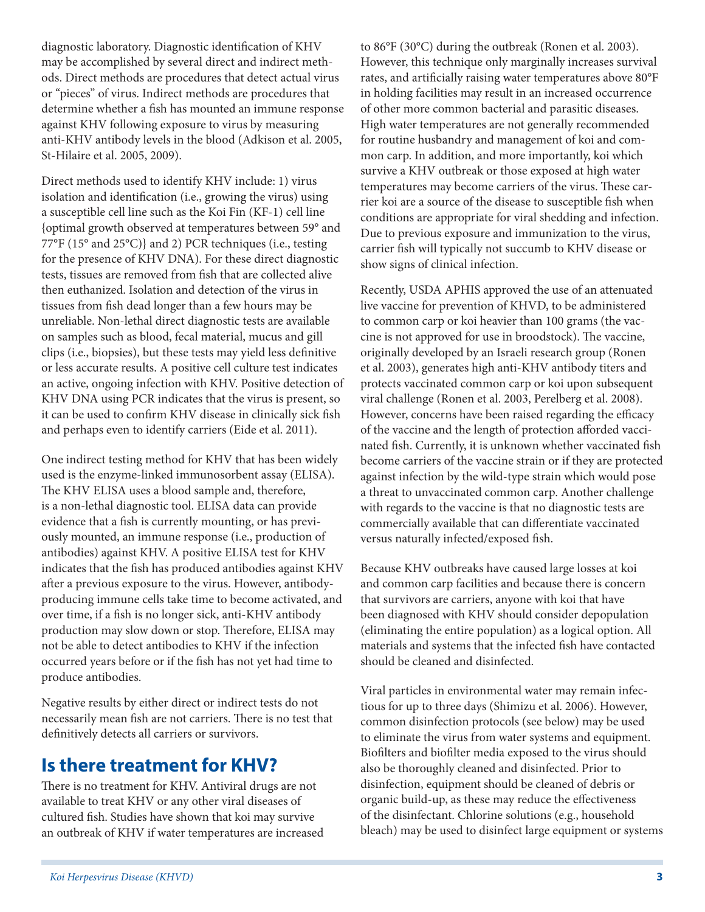diagnostic laboratory. Diagnostic identification of KHV may be accomplished by several direct and indirect methods. Direct methods are procedures that detect actual virus or "pieces" of virus. Indirect methods are procedures that determine whether a fish has mounted an immune response against KHV following exposure to virus by measuring anti-KHV antibody levels in the blood (Adkison et al. 2005, St-Hilaire et al. 2005, 2009).

Direct methods used to identify KHV include: 1) virus isolation and identification (i.e., growing the virus) using a susceptible cell line such as the Koi Fin (KF-1) cell line {optimal growth observed at temperatures between 59° and 77°F (15° and 25°C)} and 2) PCR techniques (i.e., testing for the presence of KHV DNA). For these direct diagnostic tests, tissues are removed from fish that are collected alive then euthanized. Isolation and detection of the virus in tissues from fish dead longer than a few hours may be unreliable. Non-lethal direct diagnostic tests are available on samples such as blood, fecal material, mucus and gill clips (i.e., biopsies), but these tests may yield less definitive or less accurate results. A positive cell culture test indicates an active, ongoing infection with KHV. Positive detection of KHV DNA using PCR indicates that the virus is present, so it can be used to confirm KHV disease in clinically sick fish and perhaps even to identify carriers (Eide et al. 2011).

One indirect testing method for KHV that has been widely used is the enzyme-linked immunosorbent assay (ELISA). The KHV ELISA uses a blood sample and, therefore, is a non-lethal diagnostic tool. ELISA data can provide evidence that a fish is currently mounting, or has previously mounted, an immune response (i.e., production of antibodies) against KHV. A positive ELISA test for KHV indicates that the fish has produced antibodies against KHV after a previous exposure to the virus. However, antibodyproducing immune cells take time to become activated, and over time, if a fish is no longer sick, anti-KHV antibody production may slow down or stop. Therefore, ELISA may not be able to detect antibodies to KHV if the infection occurred years before or if the fish has not yet had time to produce antibodies.

Negative results by either direct or indirect tests do not necessarily mean fish are not carriers. There is no test that definitively detects all carriers or survivors.

#### **Is there treatment for KHV?**

There is no treatment for KHV. Antiviral drugs are not available to treat KHV or any other viral diseases of cultured fish. Studies have shown that koi may survive an outbreak of KHV if water temperatures are increased to 86°F (30°C) during the outbreak (Ronen et al. 2003). However, this technique only marginally increases survival rates, and artificially raising water temperatures above 80°F in holding facilities may result in an increased occurrence of other more common bacterial and parasitic diseases. High water temperatures are not generally recommended for routine husbandry and management of koi and common carp. In addition, and more importantly, koi which survive a KHV outbreak or those exposed at high water temperatures may become carriers of the virus. These carrier koi are a source of the disease to susceptible fish when conditions are appropriate for viral shedding and infection. Due to previous exposure and immunization to the virus, carrier fish will typically not succumb to KHV disease or show signs of clinical infection.

Recently, USDA APHIS approved the use of an attenuated live vaccine for prevention of KHVD, to be administered to common carp or koi heavier than 100 grams (the vaccine is not approved for use in broodstock). The vaccine, originally developed by an Israeli research group (Ronen et al. 2003), generates high anti-KHV antibody titers and protects vaccinated common carp or koi upon subsequent viral challenge (Ronen et al. 2003, Perelberg et al. 2008). However, concerns have been raised regarding the efficacy of the vaccine and the length of protection afforded vaccinated fish. Currently, it is unknown whether vaccinated fish become carriers of the vaccine strain or if they are protected against infection by the wild-type strain which would pose a threat to unvaccinated common carp. Another challenge with regards to the vaccine is that no diagnostic tests are commercially available that can differentiate vaccinated versus naturally infected/exposed fish.

Because KHV outbreaks have caused large losses at koi and common carp facilities and because there is concern that survivors are carriers, anyone with koi that have been diagnosed with KHV should consider depopulation (eliminating the entire population) as a logical option. All materials and systems that the infected fish have contacted should be cleaned and disinfected.

Viral particles in environmental water may remain infectious for up to three days (Shimizu et al. 2006). However, common disinfection protocols (see below) may be used to eliminate the virus from water systems and equipment. Biofilters and biofilter media exposed to the virus should also be thoroughly cleaned and disinfected. Prior to disinfection, equipment should be cleaned of debris or organic build-up, as these may reduce the effectiveness of the disinfectant. Chlorine solutions (e.g., household bleach) may be used to disinfect large equipment or systems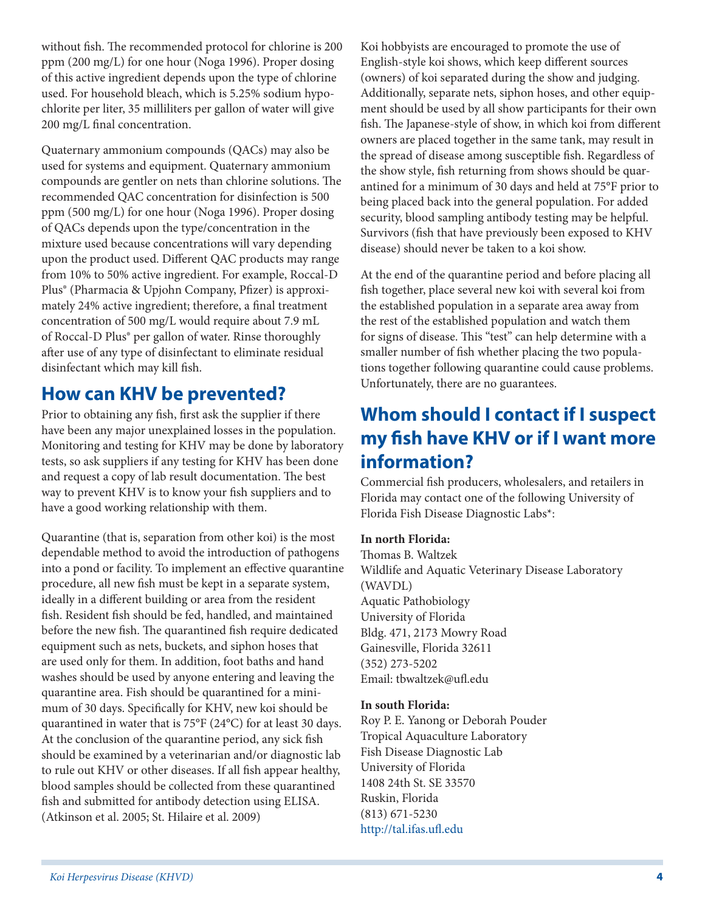without fish. The recommended protocol for chlorine is 200 ppm (200 mg/L) for one hour (Noga 1996). Proper dosing of this active ingredient depends upon the type of chlorine used. For household bleach, which is 5.25% sodium hypochlorite per liter, 35 milliliters per gallon of water will give 200 mg/L final concentration.

Quaternary ammonium compounds (QACs) may also be used for systems and equipment. Quaternary ammonium compounds are gentler on nets than chlorine solutions. The recommended QAC concentration for disinfection is 500 ppm (500 mg/L) for one hour (Noga 1996). Proper dosing of QACs depends upon the type/concentration in the mixture used because concentrations will vary depending upon the product used. Different QAC products may range from 10% to 50% active ingredient. For example, Roccal-D Plus® (Pharmacia & Upjohn Company, Pfizer) is approximately 24% active ingredient; therefore, a final treatment concentration of 500 mg/L would require about 7.9 mL of Roccal-D Plus® per gallon of water. Rinse thoroughly after use of any type of disinfectant to eliminate residual disinfectant which may kill fish.

### **How can KHV be prevented?**

Prior to obtaining any fish, first ask the supplier if there have been any major unexplained losses in the population. Monitoring and testing for KHV may be done by laboratory tests, so ask suppliers if any testing for KHV has been done and request a copy of lab result documentation. The best way to prevent KHV is to know your fish suppliers and to have a good working relationship with them.

Quarantine (that is, separation from other koi) is the most dependable method to avoid the introduction of pathogens into a pond or facility. To implement an effective quarantine procedure, all new fish must be kept in a separate system, ideally in a different building or area from the resident fish. Resident fish should be fed, handled, and maintained before the new fish. The quarantined fish require dedicated equipment such as nets, buckets, and siphon hoses that are used only for them. In addition, foot baths and hand washes should be used by anyone entering and leaving the quarantine area. Fish should be quarantined for a minimum of 30 days. Specifically for KHV, new koi should be quarantined in water that is 75°F (24°C) for at least 30 days. At the conclusion of the quarantine period, any sick fish should be examined by a veterinarian and/or diagnostic lab to rule out KHV or other diseases. If all fish appear healthy, blood samples should be collected from these quarantined fish and submitted for antibody detection using ELISA. (Atkinson et al. 2005; St. Hilaire et al. 2009)

Koi hobbyists are encouraged to promote the use of English-style koi shows, which keep different sources (owners) of koi separated during the show and judging. Additionally, separate nets, siphon hoses, and other equipment should be used by all show participants for their own fish. The Japanese-style of show, in which koi from different owners are placed together in the same tank, may result in the spread of disease among susceptible fish. Regardless of the show style, fish returning from shows should be quarantined for a minimum of 30 days and held at 75°F prior to being placed back into the general population. For added security, blood sampling antibody testing may be helpful. Survivors (fish that have previously been exposed to KHV disease) should never be taken to a koi show.

At the end of the quarantine period and before placing all fish together, place several new koi with several koi from the established population in a separate area away from the rest of the established population and watch them for signs of disease. This "test" can help determine with a smaller number of fish whether placing the two populations together following quarantine could cause problems. Unfortunately, there are no guarantees.

### **Whom should I contact if I suspect my fish have KHV or if I want more information?**

Commercial fish producers, wholesalers, and retailers in Florida may contact one of the following University of Florida Fish Disease Diagnostic Labs\*:

#### **In north Florida:**

Thomas B. Waltzek Wildlife and Aquatic Veterinary Disease Laboratory (WAVDL) Aquatic Pathobiology University of Florida Bldg. 471, 2173 Mowry Road Gainesville, Florida 32611 (352) 273-5202 Email: tbwaltzek@ufl.edu

#### **In south Florida:**

Roy P. E. Yanong or Deborah Pouder Tropical Aquaculture Laboratory Fish Disease Diagnostic Lab University of Florida 1408 24th St. SE 33570 Ruskin, Florida (813) 671-5230 http://tal.ifas.ufl.edu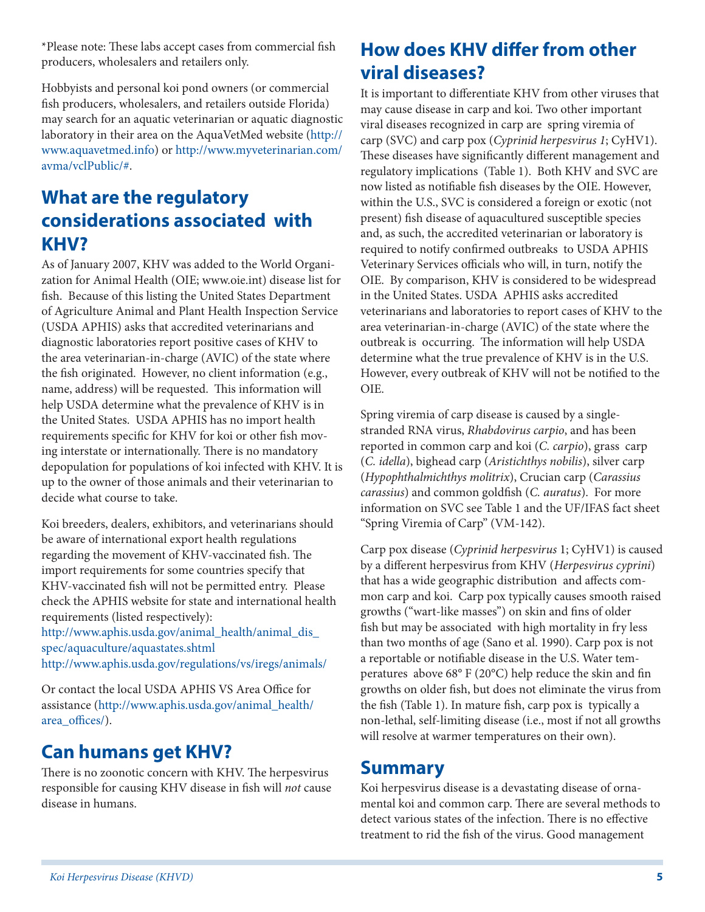\*Please note: These labs accept cases from commercial fish producers, wholesalers and retailers only.

Hobbyists and personal koi pond owners (or commercial fish producers, wholesalers, and retailers outside Florida) may search for an aquatic veterinarian or aquatic diagnostic laboratory in their area on the AquaVetMed website (http:// www.aquavetmed.info) or http://www.myveterinarian.com/ avma/vclPublic/#.

## **What are the regulatory considerations associated with KHV?**

As of January 2007, KHV was added to the World Organization for Animal Health (OIE; www.oie.int) disease list for fish. Because of this listing the United States Department of Agriculture Animal and Plant Health Inspection Service (USDA APHIS) asks that accredited veterinarians and diagnostic laboratories report positive cases of KHV to the area veterinarian-in-charge (AVIC) of the state where the fish originated. However, no client information (e.g., name, address) will be requested. This information will help USDA determine what the prevalence of KHV is in the United States. USDA APHIS has no import health requirements specific for KHV for koi or other fish moving interstate or internationally. There is no mandatory depopulation for populations of koi infected with KHV. It is up to the owner of those animals and their veterinarian to decide what course to take.

Koi breeders, dealers, exhibitors, and veterinarians should be aware of international export health regulations regarding the movement of KHV-vaccinated fish. The import requirements for some countries specify that KHV-vaccinated fish will not be permitted entry. Please check the APHIS website for state and international health requirements (listed respectively):

http://www.aphis.usda.gov/animal\_health/animal\_dis\_ spec/aquaculture/aquastates.shtml http://www.aphis.usda.gov/regulations/vs/iregs/animals/

Or contact the local USDA APHIS VS Area Office for assistance (http://www.aphis.usda.gov/animal\_health/ area\_offices/).

### **Can humans get KHV?**

There is no zoonotic concern with KHV. The herpesvirus responsible for causing KHV disease in fish will *not* cause disease in humans.

# **How does KHV differ from other viral diseases?**

It is important to differentiate KHV from other viruses that may cause disease in carp and koi. Two other important viral diseases recognized in carp are spring viremia of carp (SVC) and carp pox (*Cyprinid herpesvirus 1*; CyHV1). These diseases have significantly different management and regulatory implications (Table 1). Both KHV and SVC are now listed as notifiable fish diseases by the OIE. However, within the U.S., SVC is considered a foreign or exotic (not present) fish disease of aquacultured susceptible species and, as such, the accredited veterinarian or laboratory is required to notify confirmed outbreaks to USDA APHIS Veterinary Services officials who will, in turn, notify the OIE. By comparison, KHV is considered to be widespread in the United States. USDA APHIS asks accredited veterinarians and laboratories to report cases of KHV to the area veterinarian-in-charge (AVIC) of the state where the outbreak is occurring. The information will help USDA determine what the true prevalence of KHV is in the U.S. However, every outbreak of KHV will not be notified to the OIE.

Spring viremia of carp disease is caused by a singlestranded RNA virus, *Rhabdovirus carpio*, and has been reported in common carp and koi (*C. carpio*), grass carp (*C. idella*), bighead carp (*Aristichthys nobilis*), silver carp (*Hypophthalmichthys molitrix*), Crucian carp (*Carassius carassius*) and common goldfish (*C. auratus*). For more information on SVC see Table 1 and the UF/IFAS fact sheet "Spring Viremia of Carp" (VM-142).

Carp pox disease (*Cyprinid herpesvirus* 1; CyHV1) is caused by a different herpesvirus from KHV (*Herpesvirus cyprini*) that has a wide geographic distribution and affects common carp and koi. Carp pox typically causes smooth raised growths ("wart-like masses") on skin and fins of older fish but may be associated with high mortality in fry less than two months of age (Sano et al. 1990). Carp pox is not a reportable or notifiable disease in the U.S. Water temperatures above 68° F (20°C) help reduce the skin and fin growths on older fish, but does not eliminate the virus from the fish (Table 1). In mature fish, carp pox is typically a non-lethal, self-limiting disease (i.e., most if not all growths will resolve at warmer temperatures on their own).

#### **Summary**

Koi herpesvirus disease is a devastating disease of ornamental koi and common carp. There are several methods to detect various states of the infection. There is no effective treatment to rid the fish of the virus. Good management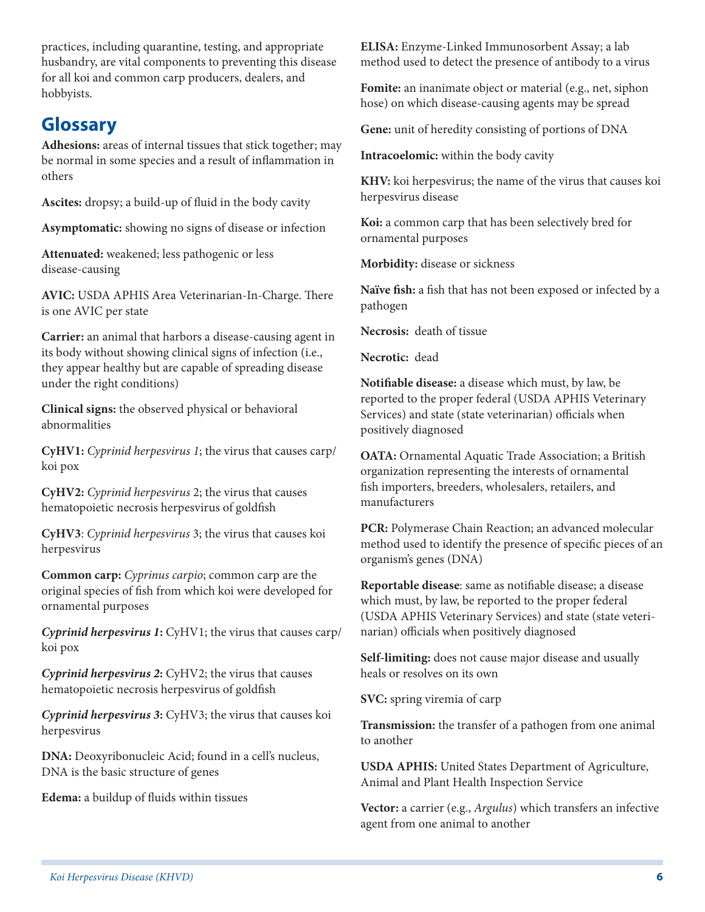practices, including quarantine, testing, and appropriate husbandry, are vital components to preventing this disease for all koi and common carp producers, dealers, and hobbyists.

#### **Glossary**

**Adhesions:** areas of internal tissues that stick together; may be normal in some species and a result of inflammation in others

**Ascites:** dropsy; a build-up of fluid in the body cavity

**Asymptomatic:** showing no signs of disease or infection

**Attenuated:** weakened; less pathogenic or less disease-causing

**AVIC:** USDA APHIS Area Veterinarian-In-Charge. There is one AVIC per state

**Carrier:** an animal that harbors a disease-causing agent in its body without showing clinical signs of infection (i.e., they appear healthy but are capable of spreading disease under the right conditions)

**Clinical signs:** the observed physical or behavioral abnormalities

**CyHV1:** *Cyprinid herpesvirus 1*; the virus that causes carp/ koi pox

**CyHV2:** *Cyprinid herpesvirus* 2; the virus that causes hematopoietic necrosis herpesvirus of goldfish

**CyHV3**: *Cyprinid herpesvirus* 3; the virus that causes koi herpesvirus

**Common carp:** *Cyprinus carpio*; common carp are the original species of fish from which koi were developed for ornamental purposes

*Cyprinid herpesvirus 1***:** CyHV1; the virus that causes carp/ koi pox

*Cyprinid herpesvirus 2***:** CyHV2; the virus that causes hematopoietic necrosis herpesvirus of goldfish

*Cyprinid herpesvirus 3***:** CyHV3; the virus that causes koi herpesvirus

**DNA:** Deoxyribonucleic Acid; found in a cell's nucleus, DNA is the basic structure of genes

**Edema:** a buildup of fluids within tissues

**ELISA:** Enzyme-Linked Immunosorbent Assay; a lab method used to detect the presence of antibody to a virus

**Fomite:** an inanimate object or material (e.g., net, siphon hose) on which disease-causing agents may be spread

**Gene:** unit of heredity consisting of portions of DNA

**Intracoelomic:** within the body cavity

**KHV:** koi herpesvirus; the name of the virus that causes koi herpesvirus disease

**Koi:** a common carp that has been selectively bred for ornamental purposes

**Morbidity:** disease or sickness

**Naïve fish:** a fish that has not been exposed or infected by a pathogen

**Necrosis:** death of tissue

**Necrotic:** dead

**Notifiable disease:** a disease which must, by law, be reported to the proper federal (USDA APHIS Veterinary Services) and state (state veterinarian) officials when positively diagnosed

**OATA:** Ornamental Aquatic Trade Association; a British organization representing the interests of ornamental fish importers, breeders, wholesalers, retailers, and manufacturers

**PCR:** Polymerase Chain Reaction; an advanced molecular method used to identify the presence of specific pieces of an organism's genes (DNA)

**Reportable disease**: same as notifiable disease; a disease which must, by law, be reported to the proper federal (USDA APHIS Veterinary Services) and state (state veterinarian) officials when positively diagnosed

**Self-limiting:** does not cause major disease and usually heals or resolves on its own

**SVC:** spring viremia of carp

**Transmission:** the transfer of a pathogen from one animal to another

**USDA APHIS:** United States Department of Agriculture, Animal and Plant Health Inspection Service

**Vector:** a carrier (e.g., *Argulus*) which transfers an infective agent from one animal to another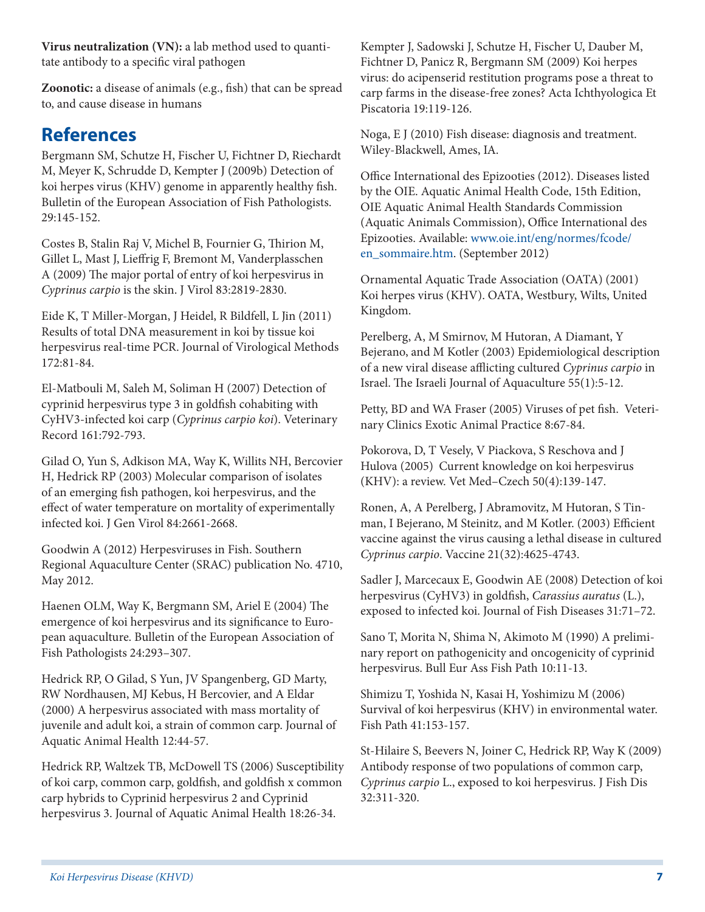Bulletin of the European Association of Fish Pathologists. 29:145-152.

to, and cause disease in humans

**References**

Costes B, Stalin Raj V, Michel B, Fournier G, Thirion M, Gillet L, Mast J, Lieffrig F, Bremont M, Vanderplasschen A (2009) The major portal of entry of koi herpesvirus in *Cyprinus carpio* is the skin. J Virol 83:2819-2830.

**Virus neutralization (VN):** a lab method used to quanti-

**Zoonotic:** a disease of animals (e.g., fish) that can be spread

Bergmann SM, Schutze H, Fischer U, Fichtner D, Riechardt M, Meyer K, Schrudde D, Kempter J (2009b) Detection of koi herpes virus (KHV) genome in apparently healthy fish.

tate antibody to a specific viral pathogen

Eide K, T Miller-Morgan, J Heidel, R Bildfell, L Jin (2011) Results of total DNA measurement in koi by tissue koi herpesvirus real-time PCR. Journal of Virological Methods 172:81-84.

El-Matbouli M, Saleh M, Soliman H (2007) Detection of cyprinid herpesvirus type 3 in goldfish cohabiting with CyHV3-infected koi carp (*Cyprinus carpio koi*). Veterinary Record 161:792-793.

Gilad O, Yun S, Adkison MA, Way K, Willits NH, Bercovier H, Hedrick RP (2003) Molecular comparison of isolates of an emerging fish pathogen, koi herpesvirus, and the effect of water temperature on mortality of experimentally infected koi. J Gen Virol 84:2661-2668.

Goodwin A (2012) Herpesviruses in Fish. Southern Regional Aquaculture Center (SRAC) publication No. 4710, May 2012.

Haenen OLM, Way K, Bergmann SM, Ariel E (2004) The emergence of koi herpesvirus and its significance to European aquaculture. Bulletin of the European Association of Fish Pathologists 24:293–307.

Hedrick RP, O Gilad, S Yun, JV Spangenberg, GD Marty, RW Nordhausen, MJ Kebus, H Bercovier, and A Eldar (2000) A herpesvirus associated with mass mortality of juvenile and adult koi, a strain of common carp. Journal of Aquatic Animal Health 12:44-57.

Hedrick RP, Waltzek TB, McDowell TS (2006) Susceptibility of koi carp, common carp, goldfish, and goldfish x common carp hybrids to Cyprinid herpesvirus 2 and Cyprinid herpesvirus 3. Journal of Aquatic Animal Health 18:26-34.

Kempter J, Sadowski J, Schutze H, Fischer U, Dauber M, Fichtner D, Panicz R, Bergmann SM (2009) Koi herpes virus: do acipenserid restitution programs pose a threat to carp farms in the disease-free zones? Acta Ichthyologica Et Piscatoria 19:119-126.

Noga, E J (2010) Fish disease: diagnosis and treatment. Wiley-Blackwell, Ames, IA.

Office International des Epizooties (2012). Diseases listed by the OIE. Aquatic Animal Health Code, 15th Edition, OIE Aquatic Animal Health Standards Commission (Aquatic Animals Commission), Office International des Epizooties. Available: www.oie.int/eng/normes/fcode/ en\_sommaire.htm. (September 2012)

Ornamental Aquatic Trade Association (OATA) (2001) Koi herpes virus (KHV). OATA, Westbury, Wilts, United Kingdom.

Perelberg, A, M Smirnov, M Hutoran, A Diamant, Y Bejerano, and M Kotler (2003) Epidemiological description of a new viral disease afflicting cultured *Cyprinus carpio* in Israel. The Israeli Journal of Aquaculture 55(1):5-12.

Petty, BD and WA Fraser (2005) Viruses of pet fish. Veterinary Clinics Exotic Animal Practice 8:67-84.

Pokorova, D, T Vesely, V Piackova, S Reschova and J Hulova (2005) Current knowledge on koi herpesvirus (KHV): a review. Vet Med–Czech 50(4):139-147.

Ronen, A, A Perelberg, J Abramovitz, M Hutoran, S Tinman, I Bejerano, M Steinitz, and M Kotler. (2003) Efficient vaccine against the virus causing a lethal disease in cultured *Cyprinus carpio*. Vaccine 21(32):4625-4743.

Sadler J, Marcecaux E, Goodwin AE (2008) Detection of koi herpesvirus (CyHV3) in goldfish, *Carassius auratus* (L.), exposed to infected koi. Journal of Fish Diseases 31:71–72.

Sano T, Morita N, Shima N, Akimoto M (1990) A preliminary report on pathogenicity and oncogenicity of cyprinid herpesvirus. Bull Eur Ass Fish Path 10:11-13.

Shimizu T, Yoshida N, Kasai H, Yoshimizu M (2006) Survival of koi herpesvirus (KHV) in environmental water. Fish Path 41:153-157.

St-Hilaire S, Beevers N, Joiner C, Hedrick RP, Way K (2009) Antibody response of two populations of common carp, *Cyprinus carpio* L., exposed to koi herpesvirus. J Fish Dis 32:311-320.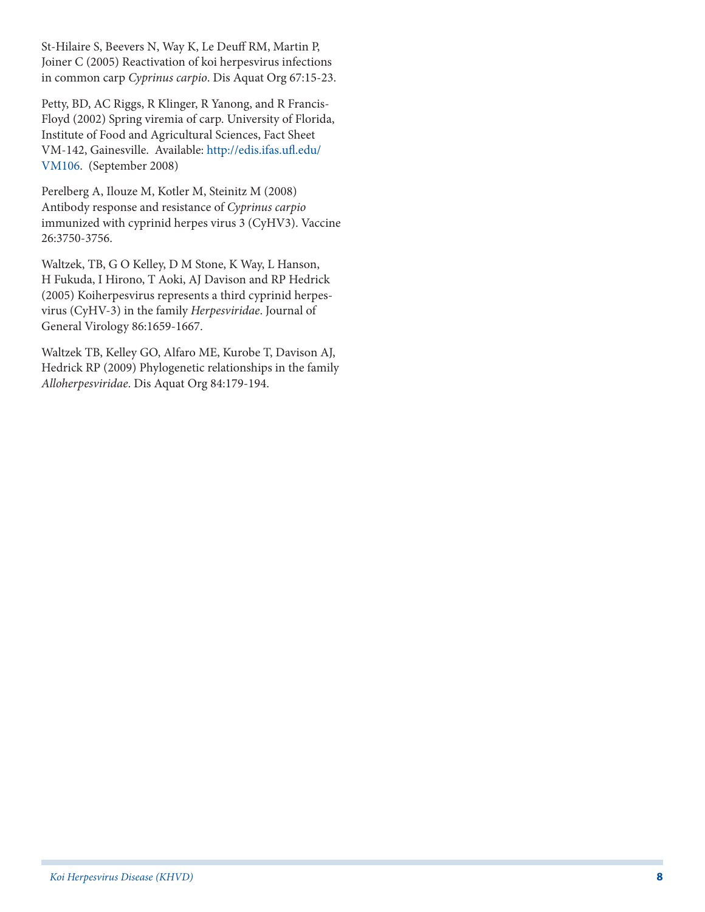St-Hilaire S, Beevers N, Way K, Le Deuff RM, Martin P, Joiner C (2005) Reactivation of koi herpesvirus infections in common carp *Cyprinus carpio*. Dis Aquat Org 67:15-23.

Petty, BD, AC Riggs, R Klinger, R Yanong, and R Francis-Floyd (2002) Spring viremia of carp. University of Florida, Institute of Food and Agricultural Sciences, Fact Sheet VM-142, Gainesville. Available: http://edis.ifas.ufl.edu/ VM106. (September 2008)

Perelberg A, Ilouze M, Kotler M, Steinitz M (2008) Antibody response and resistance of *Cyprinus carpio* immunized with cyprinid herpes virus 3 (CyHV3). Vaccine 26:3750-3756.

Waltzek, TB, G O Kelley, D M Stone, K Way, L Hanson, H Fukuda, I Hirono, T Aoki, AJ Davison and RP Hedrick (2005) Koiherpesvirus represents a third cyprinid herpesvirus (CyHV-3) in the family *Herpesviridae*. Journal of General Virology 86:1659-1667.

Waltzek TB, Kelley GO, Alfaro ME, Kurobe T, Davison AJ, Hedrick RP (2009) Phylogenetic relationships in the family *Alloherpesviridae*. Dis Aquat Org 84:179-194.